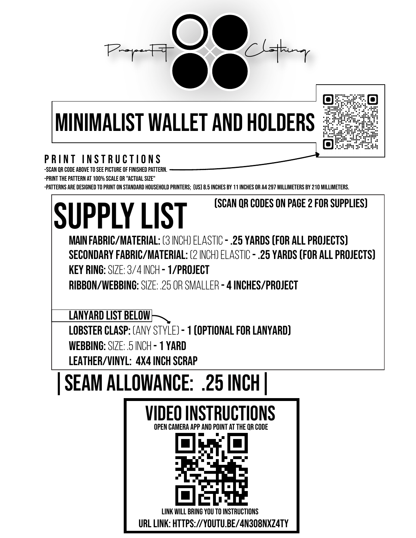

## minimalist wallet and holders



## PRINT INSTRUCTIONS

-Scan QR code above to see picture of finished pattern.

-Print the pattern at 100% scale or "Actual Size"

-Patterns are designed to print on standard household printers; (US) 8.5 inches by 11 inches or A4 297 millimeters by 210 millimeters.

| (SCAN OR CODES ON PAGE 2 FOR SUPPLIES)<br><b>SUPPLY LIST</b>                                                                                                                                                                                                                       |
|------------------------------------------------------------------------------------------------------------------------------------------------------------------------------------------------------------------------------------------------------------------------------------|
| <b>MAIN FABRIC/MATERIAL: (3 INCH) ELASTIC - .25 YARDS (FOR ALL PROJECTS)</b><br><b>SECONDARY FABRIC/MATERIAL: (2 INCH) ELASTIC - .25 YARDS (FOR ALL PROJECTS)</b><br>KEY RING: SIZE: 3/4 INCH - 1/PROJECT<br><b>RIBBON/WEBBING:</b> SIZE: .25 OR SMALLER <b>- 4 INCHES/PROJECT</b> |
| <b>LANYARD LIST BELOW</b><br><b>LOBSTER CLASP:</b> (ANY STYLE) <b>- 1 (OPTIONAL FOR LANYARD)</b><br><b>WEBBING: SIZE: .5 INCH - 1 YARD</b><br><b>LEATHER/VINYL: 4X4 INCH SCRAP</b>                                                                                                 |
| <b>SEAM ALLOWANCE: .25 INCH</b><br>VIDEO INSTRUCTIONS<br>NPFN CAMFRA AP                                                                                                                                                                                                            |
| URL LINK: HTTPS://YOUTU.BE/4N308NXZ4TY                                                                                                                                                                                                                                             |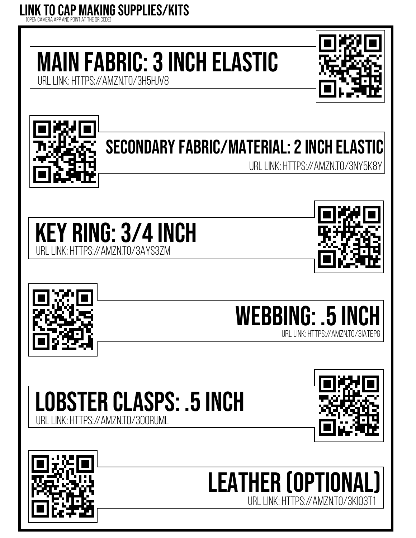## LINK to Cap making supplies/kits (open camera app and point at the qr code)

main Fabric: 3 inch elastic

URL LINK: https://amzn.to/3H5HjV8





## secondary fabric/material: 2 inch elastic

URL LINK: HTTPS://AMZN.TO/3NY5K8Y









Lobster Clasps: .5 inch URL LINK: https://amzn.to/3o0Ruml



leather (optional) URL LINK: https://amzn.to/3KIQ3T1